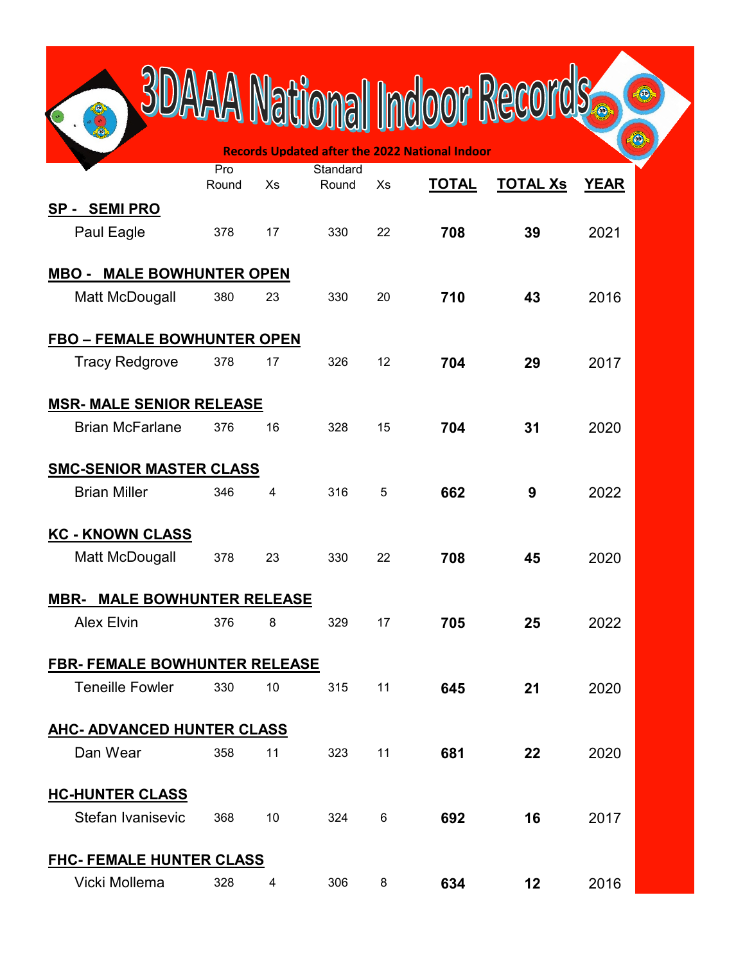|                                      |       |    |          |    | National Indoor Recor                                 |                 |             |  |  |
|--------------------------------------|-------|----|----------|----|-------------------------------------------------------|-----------------|-------------|--|--|
|                                      |       |    |          |    |                                                       |                 |             |  |  |
|                                      | Pro   |    | Standard |    | <b>Records Updated after the 2022 National Indoor</b> |                 |             |  |  |
|                                      | Round | Xs | Round    | Xs | <b>TOTAL</b>                                          | <b>TOTAL Xs</b> | <b>YEAR</b> |  |  |
| SP - SEMI PRO<br>Paul Eagle          | 378   | 17 | 330      | 22 | 708                                                   | 39              | 2021        |  |  |
| <b>MBO - MALE BOWHUNTER OPEN</b>     |       |    |          |    |                                                       |                 |             |  |  |
| Matt McDougall                       | 380   | 23 | 330      | 20 | 710                                                   | 43              | 2016        |  |  |
| <b>FBO - FEMALE BOWHUNTER OPEN</b>   |       |    |          |    |                                                       |                 |             |  |  |
| <b>Tracy Redgrove</b>                | 378   | 17 | 326      | 12 | 704                                                   | 29              | 2017        |  |  |
| <b>MSR- MALE SENIOR RELEASE</b>      |       |    |          |    |                                                       |                 |             |  |  |
| <b>Brian McFarlane</b>               | 376   | 16 | 328      | 15 | 704                                                   | 31              | 2020        |  |  |
| <b>SMC-SENIOR MASTER CLASS</b>       |       |    |          |    |                                                       |                 |             |  |  |
| <b>Brian Miller</b>                  | 346   | 4  | 316      | 5  | 662                                                   | 9               | 2022        |  |  |
| <b>KC - KNOWN CLASS</b>              |       |    |          |    |                                                       |                 |             |  |  |
| Matt McDougall                       | 378   | 23 | 330      | 22 | 708                                                   | 45              | 2020        |  |  |
| <u> MBR- MALE BOWHUNTER RELEASE</u>  |       |    |          |    |                                                       |                 |             |  |  |
| <b>Alex Elvin</b>                    | 376   | 8  | 329      | 17 | 705                                                   | 25              | 2022        |  |  |
| <b>FBR- FEMALE BOWHUNTER RELEASE</b> |       |    |          |    |                                                       |                 |             |  |  |
| <b>Teneille Fowler</b>               | 330   | 10 | 315      | 11 | 645                                                   | 21              | 2020        |  |  |
| <b>AHC- ADVANCED HUNTER CLASS</b>    |       |    |          |    |                                                       |                 |             |  |  |
| Dan Wear                             | 358   | 11 | 323      | 11 | 681                                                   | 22              | 2020        |  |  |
| <b>HC-HUNTER CLASS</b>               |       |    |          |    |                                                       |                 |             |  |  |
| Stefan Ivanisevic                    | 368   | 10 | 324      | 6  | 692                                                   | 16              | 2017        |  |  |
| <b>FHC- FEMALE HUNTER CLASS</b>      |       |    |          |    |                                                       |                 |             |  |  |
| Vicki Mollema                        | 328   | 4  | 306      | 8  | 634                                                   | 12              | 2016        |  |  |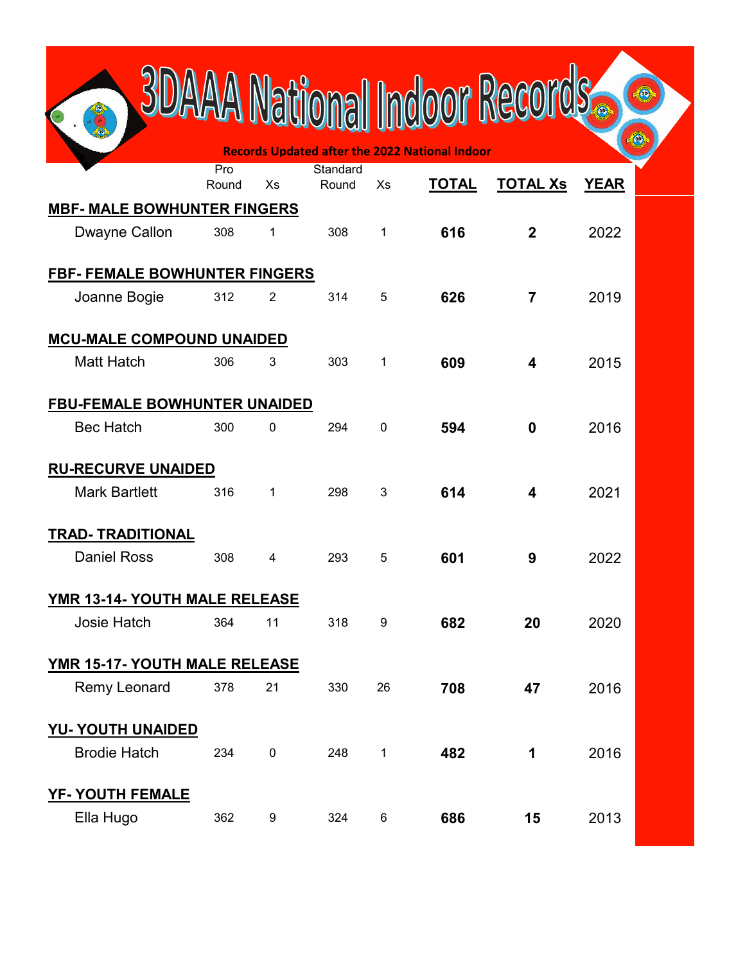|                                                   |       |                |          |    | A National Indoor Reco                                |                 |             |  |
|---------------------------------------------------|-------|----------------|----------|----|-------------------------------------------------------|-----------------|-------------|--|
|                                                   | Pro   |                | Standard |    | <b>Records Updated after the 2022 National Indoor</b> |                 |             |  |
|                                                   | Round | Xs             | Round    | Xs | <b>TOTAL</b>                                          | <b>TOTAL Xs</b> | <b>YEAR</b> |  |
| <b>MBF- MALE BOWHUNTER FINGERS</b>                |       |                |          |    |                                                       |                 |             |  |
| Dwayne Callon                                     | 308   | 1              | 308      | 1  | 616                                                   | $\mathbf{2}$    | 2022        |  |
| FBF- FEMALE BOWHUNTER FINGERS                     |       |                |          |    |                                                       |                 |             |  |
| Joanne Bogie                                      | 312   | $\overline{2}$ | 314      | 5  | 626                                                   | $\overline{7}$  | 2019        |  |
| <b>MCU-MALE COMPOUND UNAIDED</b>                  |       |                |          |    |                                                       |                 |             |  |
| <b>Matt Hatch</b>                                 | 306   | 3              | 303      | 1  | 609                                                   | 4               | 2015        |  |
| <b>FBU-FEMALE BOWHUNTER UNAIDED</b>               |       |                |          |    |                                                       |                 |             |  |
| <b>Bec Hatch</b>                                  | 300   | 0              | 294      | 0  | 594                                                   | 0               | 2016        |  |
|                                                   |       |                |          |    |                                                       |                 |             |  |
| <b>RU-RECURVE UNAIDED</b><br><b>Mark Bartlett</b> | 316   | 1              | 298      | 3  | 614                                                   | 4               | 2021        |  |
|                                                   |       |                |          |    |                                                       |                 |             |  |
| <b>TRAD- TRADITIONAL</b>                          |       |                |          |    |                                                       |                 |             |  |
| <b>Daniel Ross</b>                                | 308   | 4              | 293      | 5  | 601                                                   | 9               | 2022        |  |
| <u>YMR 13-14- YOUTH MALE RELEASE</u>              |       |                |          |    |                                                       |                 |             |  |
| Josie Hatch                                       | 364   | 11             | 318      | 9  | 682                                                   | 20              | 2020        |  |
| YMR 15-17- YOUTH MALE RELEASE                     |       |                |          |    |                                                       |                 |             |  |
| Remy Leonard                                      | 378   | 21             | 330      | 26 | 708                                                   | 47              | 2016        |  |
| <b>YU- YOUTH UNAIDED</b>                          |       |                |          |    |                                                       |                 |             |  |
| <b>Brodie Hatch</b>                               | 234   | $\pmb{0}$      | 248      | 1  | 482                                                   | 1               | 2016        |  |
| <b>YF- YOUTH FEMALE</b>                           |       |                |          |    |                                                       |                 |             |  |
| Ella Hugo                                         | 362   | 9              | 324      | 6  | 686                                                   | 15              | 2013        |  |